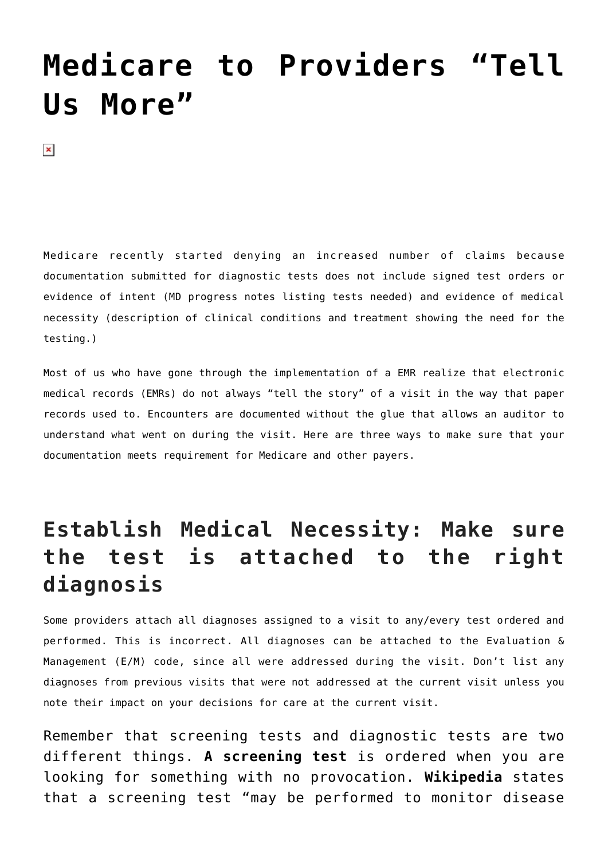## **[Medicare to Providers "Tell](https://managemypractice.com/medicare-to-providers-tell-us-more/) [Us More"](https://managemypractice.com/medicare-to-providers-tell-us-more/)**

 $\pmb{\times}$ 

Medicare recently started denying an increased number of claims because documentation submitted for diagnostic tests does not include signed test orders or evidence of intent (MD progress notes listing tests needed) and evidence of medical necessity (description of clinical conditions and treatment showing the need for the testing.)

Most of us who have gone through the implementation of a EMR realize that electronic medical records (EMRs) do not always "tell the story" of a visit in the way that paper records used to. Encounters are documented without the glue that allows an auditor to understand what went on during the visit. Here are three ways to make sure that your documentation meets requirement for Medicare and other payers.

## **Establish Medical Necessity: Make sure the test is attached to the right diagnosis**

Some providers attach all diagnoses assigned to a visit to any/every test ordered and performed. This is incorrect. All diagnoses can be attached to the Evaluation & Management (E/M) code, since all were addressed during the visit. Don't list any diagnoses from previous visits that were not addressed at the current visit unless you note their impact on your decisions for care at the current visit.

Remember that screening tests and diagnostic tests are two different things. **A screening test** is ordered when you are looking for something with no provocation. **[Wikipedia](http://www.wikipedia.org)** states that a screening test "may be performed to monitor disease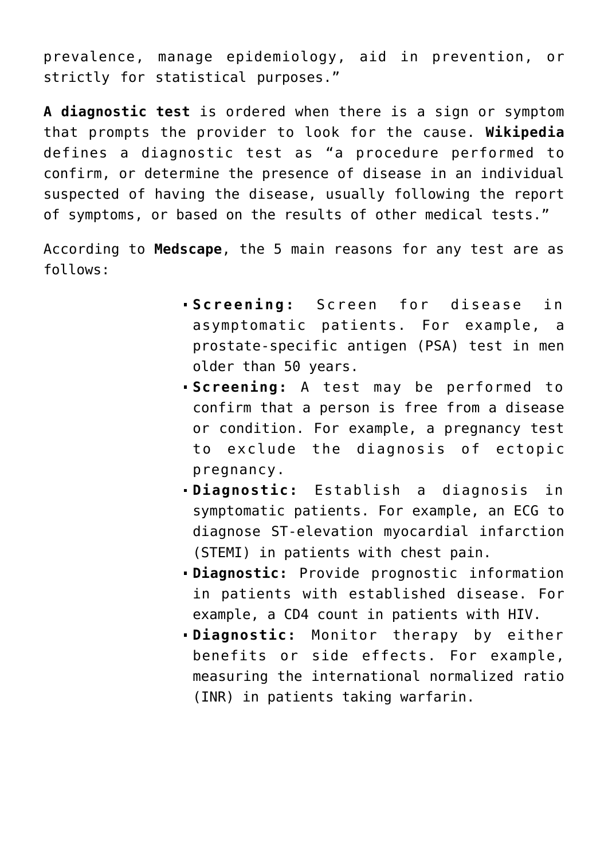prevalence, manage epidemiology, aid in prevention, or strictly for statistical purposes."

**A diagnostic test** is ordered when there is a sign or symptom that prompts the provider to look for the cause. **[Wikipedia](http://www.wikipedia.org)** defines a diagnostic test as "a procedure performed to confirm, or determine the presence of disease in an individual suspected of having the disease, usually following the report of symptoms, or based on the results of other medical tests."

According to **[Medscape](http://emedicine.medscape.com/article/773832-overview)**, the 5 main reasons for any test are as follows:

- **Screening:** Screen for disease in asymptomatic patients. For example, a prostate-specific antigen (PSA) test in men older than 50 years.
- **Screening:** A test may be performed to confirm that a person is free from a disease or condition. For example, a pregnancy test to exclude the diagnosis of ectopic pregnancy.
- **Diagnostic:** Establish a diagnosis in symptomatic patients. For example, an ECG to diagnose ST-elevation myocardial infarction (STEMI) in patients with chest pain.
- **Diagnostic:** Provide prognostic information in patients with established disease. For example, a CD4 count in patients with HIV.
- **Diagnostic:** Monitor therapy by either benefits or side effects. For example, measuring the international normalized ratio (INR) in patients taking warfarin.